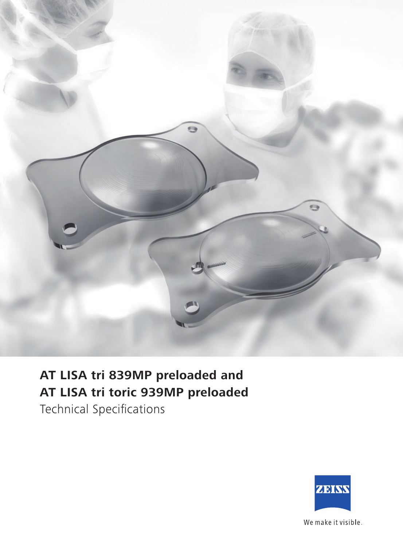

## **AT LISA tri 839MP preloaded and AT LISA tri toric 939MP preloaded**

Technical Specifications



We make it visible.